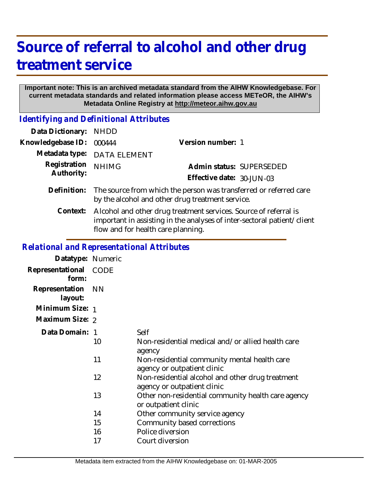# **Source of referral to alcohol and other drug treatment service**

#### **Important note: This is an archived metadata standard from the AIHW Knowledgebase. For current metadata standards and related information please access METeOR, the AIHW's Metadata Online Registry at http://meteor.aihw.gov.au**

*Identifying and Definitional Attributes*

| Data Dictionary:  | <b>NHDD</b>                                                                                                                                                                       |                           |  |
|-------------------|-----------------------------------------------------------------------------------------------------------------------------------------------------------------------------------|---------------------------|--|
| Knowledgebase ID: | 000444                                                                                                                                                                            | Version number: 1         |  |
| Metadata type:    | <b>DATA ELEMENT</b>                                                                                                                                                               |                           |  |
| Registration      | <b>NHIMG</b>                                                                                                                                                                      | Admin status: SUPERSEDED  |  |
| Authority:        |                                                                                                                                                                                   | Effective date: 30-JUN-03 |  |
| Definition:       | The source from which the person was transferred or referred care<br>by the alcohol and other drug treatment service.                                                             |                           |  |
| Context:          | Alcohol and other drug treatment services. Source of referral is<br>important in assisting in the analyses of inter-sectoral patient/client<br>flow and for health care planning. |                           |  |
|                   |                                                                                                                                                                                   |                           |  |

### *Relational and Representational Attributes*

| Datatype: Numeric         |           |                                                                                 |
|---------------------------|-----------|---------------------------------------------------------------------------------|
| Representational<br>form: | CODE      |                                                                                 |
| Representation<br>layout: | <b>NN</b> |                                                                                 |
| Minimum Size: 1           |           |                                                                                 |
| Maximum Size: 2           |           |                                                                                 |
| Data Domain: 1            |           | Self                                                                            |
|                           | 10        | Non-residential medical and/or allied health care<br>agency                     |
|                           | 11        | Non-residential community mental health care<br>agency or outpatient clinic     |
|                           | 12        | Non-residential alcohol and other drug treatment<br>agency or outpatient clinic |
|                           | 13        | Other non-residential community health care agency<br>or outpatient clinic      |
|                           | 14        | Other community service agency                                                  |
|                           | 15        | Community based corrections                                                     |
|                           | 16        | Police diversion                                                                |
|                           | 17        | Court diversion                                                                 |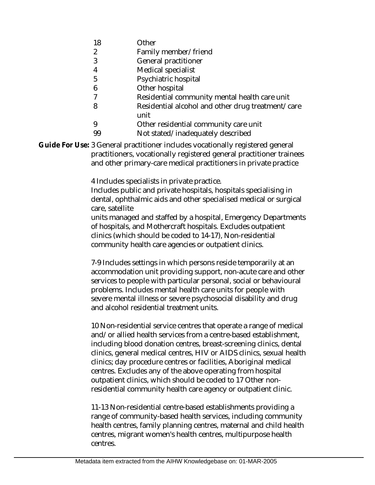- 18 **Other**
- $\mathfrak{D}$ Family member/friend
- 3 General practitioner
- 4 Medical specialist
- 5 Psychiatric hospital
- 6 Other hospital
- 7 Residential community mental health care unit
- 8 Residential alcohol and other drug treatment/care unit
- 9 Other residential community care unit
- 99 Not stated/inadequately described
- Guide For Use: 3 General practitioner includes vocationally registered general practitioners, vocationally registered general practitioner trainees and other primary-care medical practitioners in private practice

4 Includes specialists in private practice.

Includes public and private hospitals, hospitals specialising in dental, ophthalmic aids and other specialised medical or surgical care, satellite

units managed and staffed by a hospital, Emergency Departments of hospitals, and Mothercraft hospitals. Excludes outpatient clinics (which should be coded to 14-17), Non-residential community health care agencies or outpatient clinics.

7-9 Includes settings in which persons reside temporarily at an accommodation unit providing support, non-acute care and other services to people with particular personal, social or behavioural problems. Includes mental health care units for people with severe mental illness or severe psychosocial disability and drug and alcohol residential treatment units.

10 Non-residential service centres that operate a range of medical and/or allied health services from a centre-based establishment, including blood donation centres, breast-screening clinics, dental clinics, general medical centres, HIV or AIDS clinics, sexual health clinics; day procedure centres or facilities, Aboriginal medical centres. Excludes any of the above operating from hospital outpatient clinics, which should be coded to 17 Other nonresidential community health care agency or outpatient clinic.

11-13 Non-residential centre-based establishments providing a range of community-based health services, including community health centres, family planning centres, maternal and child health centres, migrant women's health centres, multipurpose health centres.